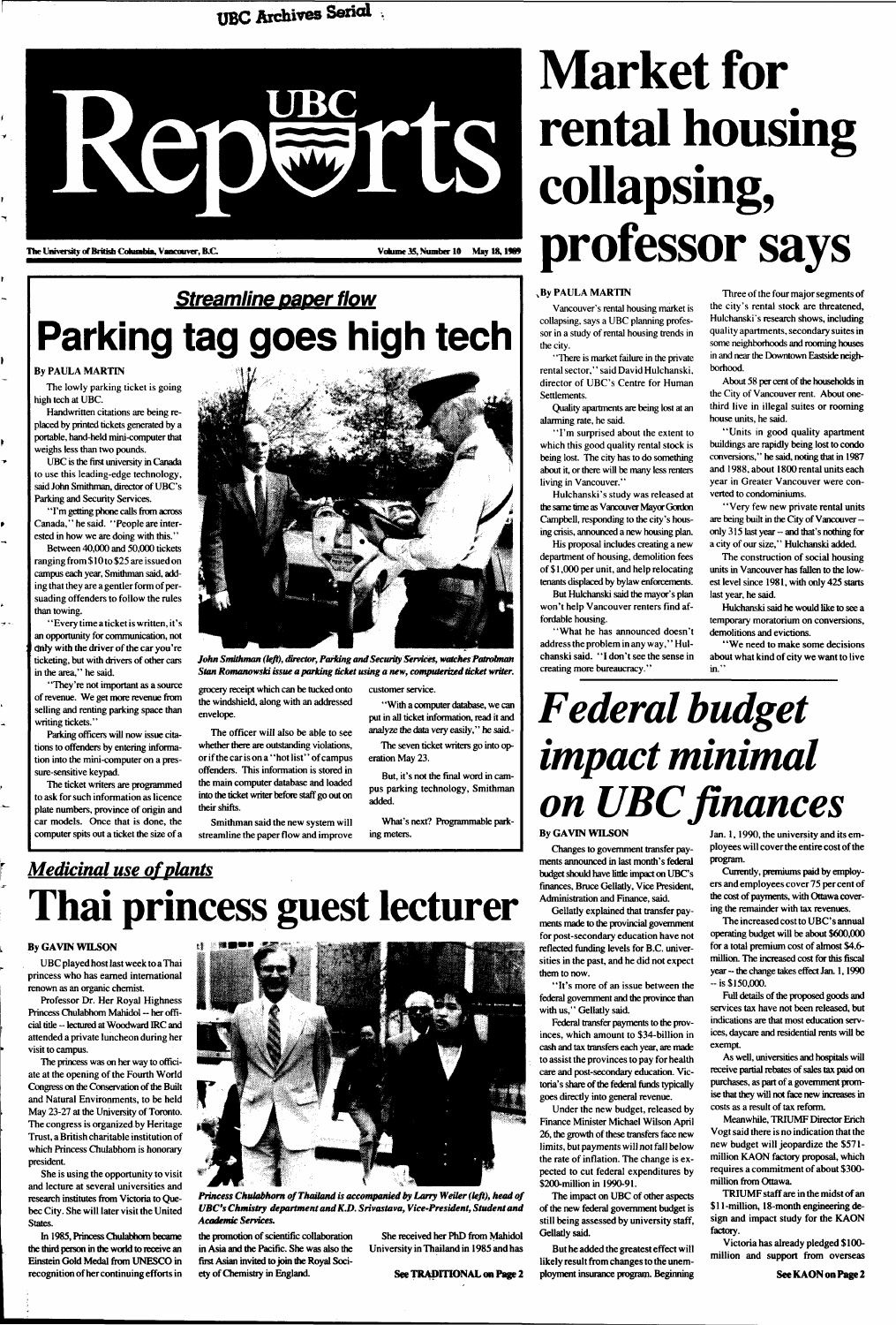### **UBC Archives Sericd**



### **Streamline paper flow Parking tag goes high tech**

#### By PAULA MARTIN

The lowly parking ticket is going high tech at UBC.

Handwritten citations are being replaced by printed tickets generated by a portable, hand-held mini-computer that weighs less than two pounds.

UBC is the first university in Canada to use this leading-edge technology, said John Smithman, director of UBC's Parking and Security Services.

"I'm getting phone calls from across Canada," he said. "People are interested in how we are doing with this."

Between 40,000 and 50,000 tickets ranging from \$ 10 to \$25 are issued on campus each year, Smithman said, adding that they are a gentler form of persuading offenders to follow the rules than towing.

"Every time a ticket is written, it's an opportunity for communication, not only with the driver of the car you're ticketing, but with drivers of other cars in the area," he said.

"They're not important as a source of revenue. We get more revenue from selling and renting parking space than writing tickets."

Parking officers will now issue citations to offenders by entering information into the mini-computer on a pressure-sensitive keypad.

The ticket writers are programmed to ask for such information as licence plate numbers, province of origin and car models. Once that is done, the computer spits out a ticket the size of a



*John Smithman (left), director, Parking and Security Services, watches Patrolman Stan Romanowski issue a parking ticket using a new, computerized ticket writer.* 

grocery receipt which can be tucked onto the windshield, along with an addressed envelope.

The officer will also be able to see whether there are outstanding violations, or if the car is on a "hot list'' of campus offenders. This information is stored in the main computer database and loaded into the ticket writer before staff go out on their shifts.

Smithman said the new system will streamline the paper flow and improve customer service.

' 'With a computer database, we can put in all ticket information, read it and analyze the data very easily," he said.- The seven ticket writers go into operation May 23.

But, it's not the final word in campus parking technology, Smithman added.

What's next? Programmable parking meters.

*Medicinal use of plants*  **Thai princess guest lecturer** 

#### By GAVIN WILSON

UBC played host last week to a Thai princess who has earned international renown as an organic chemist.

Professor Dr. Her Royal Highness Princess Chulabhom Mahidol — her offi-



cial title - lectured at Woodward IRC and attended a private luncheon during her visit to campus.

The princess was on her way to officiate at the opening of the Fourth World Congress on the Conservation of the Built and Natural Environments, to be held May 23-27 at the University of Toronto. The congress is organized by Heritage Trust, a British charitable institution of which Princess Chulabhom is honorary president.

She is using the opportunity to visit and lecture at several universities and research institutes from Victoria to Quebec City. She will later visit the United States.

In 1985, Princess Chulabhom became the third person in the world to receive an Einstein Gold Medal from UNESCO in recognition of her continuing efforts in *Princess Chulabhom of Thailand is accompanied by Larry Weiler (left), head of UBC's Chmistry department and K.D. Srivastava, Vice-President, Student and Academic Services.* 

# **Market for rental housing collapsing, professor says**

#### By PAULA MARTIN

Vancouver's rental housing market is collapsing, says a UBC planning professor in a study of rental housing trends in the city.

> Jan. 1, 1990, the university and its employees will cover the entire cost of the program.

"There is market failure in the private rental sector," said David Hulchanski, director of UBC's Centre for Human Settlements.

Quality apartments are being lost at an alarming rate, he said.

> Full details of the proposed goods and services tax have not been released, but indications are that most education services, daycare and residential rents will be exempt

"I'm surprised about the extent to which this good quality rental stock is being lost. The city has to do something about it, or there will be many less renters living in Vancouver."

Hulchanski's study was released at the same time as Vancouver Mayor Gordon Campbell, responding to the city's housing crisis, announced a new housing plan.

His proposal includes creating a new department of housing, demolition fees of \$1,000 per unit, and help relocating tenants displaced by bylaw enforcements. But Hulchanski said the mayor's plan

won't help Vancouver renters find affordable housing.

"What he has announced doesn't address the problem in any way," Hulchanski said. "I don't see the sense in creating more bureaucracy."

Three of the four major segments of the city's rental stock are threatened, Hulchanski's research shows, including quality apartments, secondary suites in some neighborhoods and rooming houses in and near the Downtown Eastside neighborhood.

About 58 per cent of the households in the City of Vancouver rent. About onethird live in illegal suites or rooming house units, he said.

"Units in good quality apartment buildings are rapidly being lost to condo conversions," he said, noting that in 1987 and 1988, about 1800 rental units each year in Greater Vancouver were converted to condominiums.

"Very few new private rental units are being built in the City of Vancouver -only 315 last year -- and that's nothing for a city of our size," Hulchanski added.

The construction of social housing units in Vancouver has fallen to the lowest level since 1981, with only 425 starts last year, he said.

Hulchanski said he would like to see a temporary moratorium on conversions, demolitions and evictions.

' 'We need to make some decisions about what kind of city we want to live in."

## *Federal budget impact minimal on UBC finances*

the promotion of scientific collaboration in Asia and the Pacific. She was also the first Asian invited to join the Royal Society of Chemistry in England.

She received her PhD from Mahidol University in Thailand in 1985 and has

See TRADITIONAL on Page 2

#### By GAVIN WILSON

Changes to government transfer payments announced in last month's federal budget should have little impact on UBC's finances, Bruce Gellatly, Vice President, Administration and Finance, said.

Gellatly explained that transfer payments made to the provincial government for post-secondary education have not reflected funding levels for B.C. universities in the past, and he did not expect them to now.

"It's more of an issue between the federal government and the province than with us," Gellatly said.

Federal transfer payments to the provinces, which amount to \$34-billion in cash and tax transfers each year, are made to assist the provinces to pay for health care and post-secondary education. Victoria's share of the federal funds typically goes directly into general revenue.

Under the new budget, released by Finance Minister Michael Wilson April 26, the growth of these transfers face new limits, but payments will not fall below the rate of inflation. The change is expected to cut federal expenditures by \$200-million in 1990-91.

The impact on UBC of other aspects of the new federal government budget is still being assessed by university staff, Gellatly said.

But he added the greatest effect will likely result from changes to the unemployment insurance program. Beginning

Currently, premiums paid by employers and employees cover 75 per cent of the cost of payments, with Ottawa covering the remainder with tax revenues.

The increased cost to UBC's annual operating budget will be about \$600,000 for a total premium cost of almost \$4.6 million. The increased cost for this fiscal year -- the change takes effect Jan. 1, 1990 - is \$150,000.

As well, universities and hospitals will receive partial rebates of sales tax paid on purchases, as part of a government promise that they will not face new increases in costs as a result of tax reform.

Meanwhile, TRIUMF Director Erich Vogt said there is no indication that the new budget will jeopardize the \$571 million KAON factory proposal, which requires a commitment of about \$300 million from Ottawa.

TRIUMF staff are in the midst of an \$11-million, 18-month engineering design and impact study for the KAON factory.

Victoria has already pledged \$100 million and support from overseas

See KAON on Page 2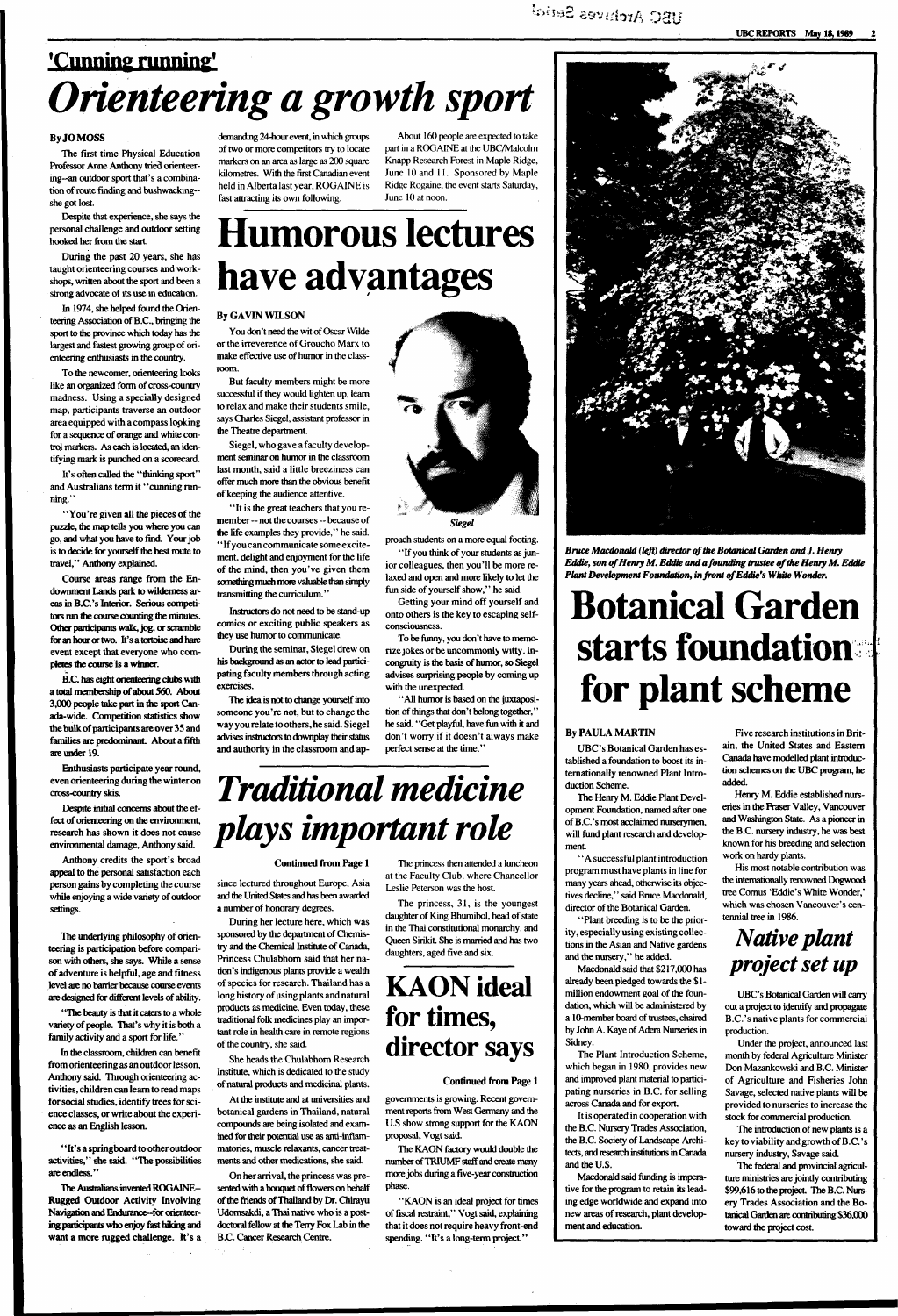### **UBC Archives Setici**

### **'Cunning running'**  *Orienteering a growth sport*

#### By JO MOSS

The first time Physical Education Professor Anne Anthony tried orienteering-an outdoor sport that's a combination of route finding and bushwackingshe got lost.

Despite that experience, she says the personal challenge and outdoor setting hooked her from the start.

During the past 20 years, she has taught orienteering courses and workshops, written about the sport and been a strong advocate of its use in education.

In 1974, she helped found the Orienteering Association of B.C., bringing the sport to the province which today has the largest and fastest growing group of orienteering enthusiasts in the country.

"You're given all the pieces of the puzzle, the map tells you where you can go, and what you have to find. Your job is to decide for yourself the best route to travel," Anthony explained.

To the newcomer, orienteering looks like an organized form of cross-country madness. Using a specially designed map, participants traverse an outdoor area equipped with a compass looking for a sequence of orange and white control markers. As each is located, an identifying mark is punched on a scorecard.

It's often called the "thinking sport" and Australians term it "cunning running."

Course areas range from the Endownment Lands park to wilderness areas in B.C.'s Interior. Serious competitors run the course counting the minutes. Other participants walk, jog, or scramble for an hour or two. It's a tortoise and hare event except that everyone who completes the course is a winner.

B.C. has eight orienteering clubs with a total membership of about 560. About 3,000 people take part in the sport Canada-wide. Competition statistics show the bulk of participants are over 35 and families are predominant. About a fifth are under 19.

Enthusiasts participate year round, even orienteering during the winter on cross-country skis.

Despite initial concerns about the effect of orienteering on the environment, research has shown it does not cause environmental damage, Anthony said.

Anthony credits the sport's broad appeal to the personal satisfaction each person gains by completing the course while enjoying a wide variety of outdoor settings.

The underlying philosophy of orienteering is participation before comparison with others, she says. While a sense of adventure is helpful, age and fitness level are no barrier because course events are designed for different levels of ability.

' "The beauty is that it caters to a whole variety of people. That's why it is both a family activity and a sport for life."

In the classroom, children can benefit from orienteering as an outdoor lesson, Anthony said. Through orienteering activities, children can learn to read maps for social studies, identify trees for science classes, or write about the experience as an English lesson.

"It's a springboard to other outdoor activities," she said. "The possibilities are endless."

The Australians invented ROGAINE-Rugged Outdoor Activity Involving Navigation and Endurance-for orienteering participants who enjoy fast hiking and want a more rugged challenge. It's a demanding 24-hour event, in which groups of two or more competitors try to locate markers on an area as large as 200 square kilometres. With the first Canadian event held in Alberta last year, ROGAINE is fast attracting its own following.

About 160 people are expected to take part in a ROGAINE at the UBC/Malcolm Knapp Research Forest in Maple Ridge, June 10 and 11. Sponsored by Maple Ridge Rogaine, the event starts Saturday, June 10 at noon.

## **Humorous lectures have advantages**

#### By GAVIN WILSON

"KAON is an ideal project for times of fiscal restraint," Vogt said, explaining that it does not require heavy front-end spending. "It's a long-term project."

You don't need the wit of Oscar Wilde or the irreverence of Groucho Marx to make effective use of humor in the classroom.

> **Bruce Macdonald (left) director of the Botanical Garden and J. Henry** *Eddie, son of Henry M. Eddie and a founding trustee ofthe Henry M. Eddie Plant Development Foundation, in front of Eddie's White Wonder.*

But faculty members might be more successful if they would lighten up, learn to relax and make their students smile, says Charles Siegel, assistant professor in the Theatre department.

> ' 'A successful plant introduction program must have plants in line for many years ahead, otherwise its objectives decline," said Bruce Macdonald, director of the Botanical Garden.

Siegel, who gave a faculty development seminar on humor in the classroom last month, said a little breeziness can offer much more than the obvious benefit of keeping the audience attentive.

"It is the great teachers that you remember —not the courses — because of the life examples they provide," he said. "If you can communicate some excitement, delight and enjoyment for the life of the mind, then you've given them something much more valuable than simply transmitting the curriculum.''

Instructors do not need to be stand-up comics or exciting public speakers as they use humor to communicate.

During the seminar, Siegel drew on his background as an actor to lead participating faculty members through acting exercises.

The idea is not to change yourself into someone you're not, but to change the way you relate to others, he said. Siegel advises instructors to downplay their status and authority in the classroom and ap-



proach students on a more equal footing. '' If you think of your students as junior colleagues, then you'll be more re-

laxed and open and more likely to let the fun side of yourself show," he said. Getting your mind off yourself and

onto others is the key to escaping selfconsciousness.

To be funny, you don't have to memorize jokes or be uncommonly witty. Incongruity is the basis of humor, so Siegel advises surprising people by coming up with the unexpected.

' 'All humor is based on the juxtaposition of things that don't belong together," he said. "Get playful, have fun with it and don't worry if it doesn't always make perfect sense at the time."

## *Traditional medicine plays important role*

#### Continued from Page 1

since lectured throughout Europe, Asia and the United States and has been awarded a number of honorary degrees.

During her lecture here, which was sponsored by the department of Chemistry and the Chemical Institute of Canada, Princess Chulabhom said that her nation's indigenous plants provide a wealth of species for research. Thailand has a long history of using plants and natural products as medicine. Even today, these traditional folk medicines play an important role in health care in remote regions of the country, she said.

She heads the Chulabhom Research Institute, which is dedicated to the study of natural products and medicinal plants.

At the institute and at universities and botanical gardens in Thailand, natural compounds are being isolated and examined for their potential use as anti-inflammatories, muscle relaxants, cancer treatments and other medications, she said.

On her arrival, the princess was presented with a bouquet of flowers on behalf of (he friends of Thailand by Dr. Chirayu Udomsakdi, a Thai native who is a postdoctoral fellow at the Terry Fox Lab in the B.C. Cancer Research Centre.

The princess then attended a luncheon at the Faculty Club, where Chancellor Leslie Peterson was the host.

The princess, 31, is the youngest daughter of King Bhumibol, head of state in the Thai constitutional monarchy, and Queen Sirikit. She is married and has two daughters, aged five and six.

### **KAON ideal**



### **for times, director says**

Continued from Page 1

governments is growing. Recent government reports from West Germany and the U.S show strong support for the KAON proposal, Vogt said.

The KAON factory would double the number of TRIUMF staff and create many more jobs during a five-year construction phase.

## **Botanical Garden starts foundation for plant scheme**

#### By PAULA MARTIN

UBC's Botanical Garden has established a foundation to boost its internationally renowned Plant Introduction Scheme.

The Henry M. Eddie Plant Development Foundation, named after one of B.C.'s most acclaimed nurserymen, will fund plant research and development.

"Plant breeding is to be the priority, especially using existing collections in the Asian and Native gardens and the nursery," he added.

Macdonald said that \$217,000 has already been pledged towards the \$ 1 million endowment goal of the foundation, which will be administered by a 10-member board of trustees, chaired by John A. Kaye of Adera Nurseries in Sidney.

The Plant Introduction Scheme, which began in 1980, provides new and improved plant material to participating nurseries in B.C. for selling across Canada and for export.

It is operated in cooperation with the B.C. Nursery Trades Association, the B.C. Society of Landscape Architects, and research institutions in Canada and the U.S.

Macdonald said funding is imperative for the program to retain its leading edge worldwide and expand into new areas of research, plant development and education.

Five research institutions in Britain, the United States and Eastern Canada have modelled plant introduction schemes on the UBC program, he added.

Henry M. Eddie established nurseries in the Fraser Valley, Vancouver and Washington State. As a pioneer in the B.C. nursery industry, he was best known for his breeding and selection work on hardy plants.

His most notable contribution was the internationally renowned Dogwood tree Comus 'Eddie's White Wonder,' which was chosen Vancouver's centennial tree in 1986.

### *Native plant project set up*

UBC's Botanical Garden will carry

out a project to identify and propagate B.C.'s native plants for commercial production.

Under the project, announced last month by federal Agriculture Minister Don Mazankowski and B.C. Minister of Agriculture and Fisheries John Savage, selected native plants will be provided to nurseries to increase the stock for commercial production.

The introduction of new plants is a key to viability and growth of B.C. 's nursery industry, Savage said.

The federal and provincial agriculture ministries are jointly contributing \$99,616 to the project. The B.C. Nursery Trades Association and the Botanical Garden are contributing \$36,000 toward the project cost.